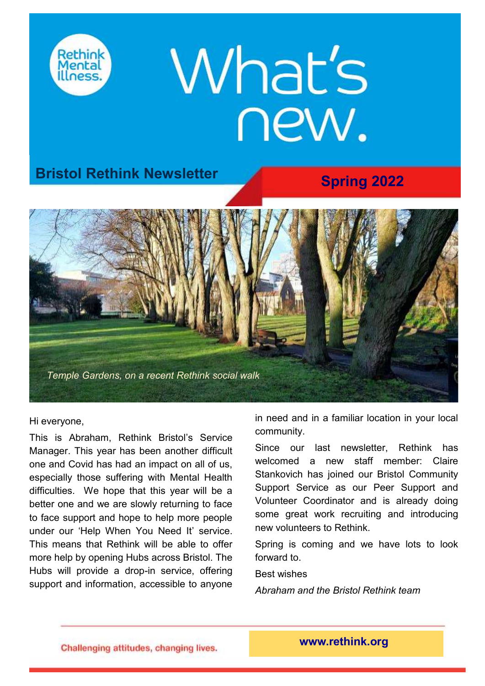

## **What's** new.

## **Spring 2022 Bristol Rethink Newsletter**



Hi everyone,

This is Abraham, Rethink Bristol's Service Manager. This year has been another difficult one and Covid has had an impact on all of us, especially those suffering with Mental Health difficulties. We hope that this year will be a better one and we are slowly returning to face to face support and hope to help more people under our 'Help When You Need It' service. This means that Rethink will be able to offer more help by opening Hubs across Bristol. The Hubs will provide a drop-in service, offering support and information, accessible to anyone

in need and in a familiar location in your local community.

Since our last newsletter, Rethink has welcomed a new staff member: Claire Stankovich has joined our Bristol Community Support Service as our Peer Support and Volunteer Coordinator and is already doing some great work recruiting and introducing new volunteers to Rethink.

Spring is coming and we have lots to look forward to.

#### Best wishes

*Abraham and the Bristol Rethink team*

Challenging attitudes, changing lives.

**www.rethink.org**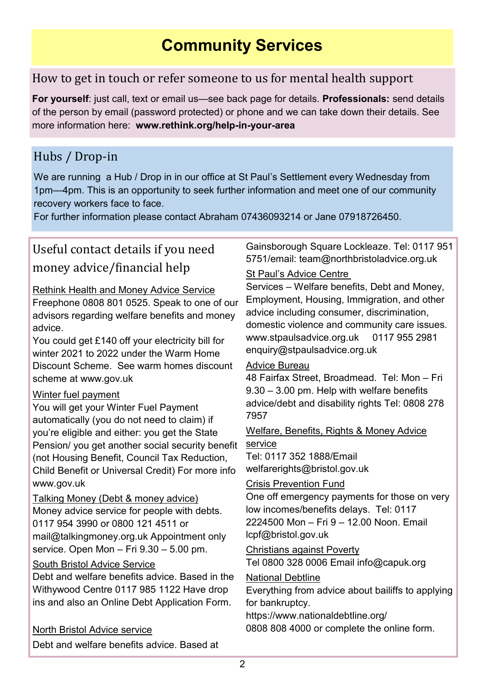## **Community Services**

## How to get in touch or refer someone to us for mental health support

**For yourself**: just call, text or email us—see back page for details. **Professionals:** send details of the person by email (password protected) or phone and we can take down their details. See more information here: **[www.rethink.org/help](https://www.rethink.org/help-in-your-area/services/community-support/bristol-community-support-services/)-in-your-area**

## Hubs / Drop-in

We are running a Hub / Drop in in our office at St Paul's Settlement every Wednesday from 1pm—4pm. This is an opportunity to seek further information and meet one of our community recovery workers face to face.

For further information please contact Abraham 07436093214 or Jane 07918726450.

## Useful contact details if you need money advice/financial help

#### Rethink Health and Money Advice Service

Freephone 0808 801 0525. Speak to one of our advisors regarding welfare benefits and money advice.

You could get £140 off your electricity bill for winter 2021 to 2022 under the Warm Home Discount Scheme. See warm homes discount scheme at [www.gov.uk](http://www.gov.uk)

#### Winter fuel payment

You will get your Winter Fuel Payment automatically (you do not need to claim) if you'[re eligible](https://www.gov.uk/winter-fuel-payment/eligibility) and either: you get the State Pension/ you get another social security benefit (not Housing Benefit, Council Tax Reduction, Child Benefit or Universal Credit) For more info [www.gov.uk](http://www.gov.uk)

Talking Money (Debt & money advice) Money advice service for people with debts. 0117 954 3990 or 0800 121 4511 or [mail@talkingmoney.org.uk A](mailto:mail@talkingmoney.org.uk)ppointment only service. Open Mon – Fri 9.30 – 5.00 pm.

#### South Bristol Advice Service

Debt and welfare benefits advice. Based in the Withywood Centre 0117 985 1122 Have drop ins and also an Online Debt Application Form.

#### North Bristol Advice service

Debt and welfare benefits advice. Based at

Gainsborough Square Lockleaze. Tel: 0117 951 5751/email: [team@northbristoladvice.org.uk](mailto:team@northbristoladvice.org.uk)

## St Paul's Advice Centre

Services – Welfare benefits, Debt and Money, Employment, Housing, Immigration, and other advice including consumer, discrimination, domestic violence and community care issues. [www.stpaulsadvice.org.uk 0](https://www.stpaulsadvice.org.uk/)117 955 2981 [enquiry@stpaulsadvice.org.uk](mailto:enquiry@stpaulsadvice.org.uk)

#### Advice Bureau

48 Fairfax Street, Broadmead. Tel: Mon – Fri 9.30 – 3.00 pm. Help with welfare benefits advice/debt and disability rights Tel: 0808 278 7957

#### Welfare, Benefits, Rights & Money Advice service

Tel: 0117 352 1888/Email [welfarerights@bristol.gov.uk](mailto:welfarerights@bristol.gov.uk)

#### Crisis Prevention Fund

One off emergency payments for those on very low incomes/benefits delays. Tel: 0117 2224500 Mon – Fri 9 – 12.00 Noon. Email [lcpf@bristol.gov.uk](mailto:lcpf@bristol.gov.uk)

Christians against Poverty Tel 0800 328 0006 Email [info@capuk.org](mailto:info@capuk.org)

#### National Debtline

Everything from advice about bailiffs to applying for bankruptcy.

<https://www.nationaldebtline.org/> 0808 808 4000 or complete the online form.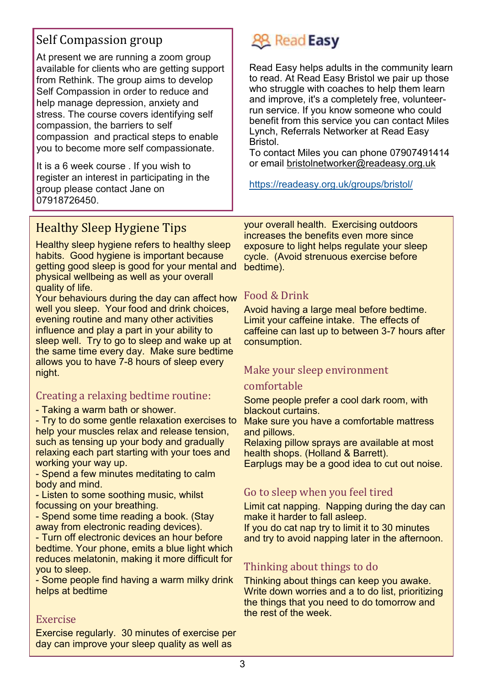## Self Compassion group

At present we are running a zoom group available for clients who are getting support from Rethink. The group aims to develop Self Compassion in order to reduce and help manage depression, anxiety and stress. The course covers identifying self compassion, the barriers to self compassion and practical steps to enable you to become more self compassionate.

It is a 6 week course . If you wish to register an interest in participating in the group please contact Jane on 07918726450.

## **28 Read Easy**

Read Easy helps adults in the community learn to read. At Read Easy Bristol we pair up those who struggle with coaches to help them learn and improve, it's a completely free, volunteerrun service. If you know someone who could benefit from this service you can contact Miles Lynch, Referrals Networker at Read Easy Bristol.

To contact Miles you can phone 07907491414 or email [bristolnetworker@readeasy.org.uk](mailto:bristolnetworker@readeasy.org.uk)

<https://readeasy.org.uk/groups/bristol/>

## Healthy Sleep Hygiene Tips

Healthy sleep hygiene refers to healthy sleep habits. Good hygiene is important because getting good sleep is good for your mental and physical wellbeing as well as your overall quality of life.

Your behaviours during the day can affect how well you sleep. Your food and drink choices, evening routine and many other activities influence and play a part in your ability to sleep well. Try to go to sleep and wake up at the same time every day. Make sure bedtime allows you to have 7-8 hours of sleep every night.

### Creating a relaxing bedtime routine:

- Taking a warm bath or shower.

- Try to do some gentle relaxation exercises to help your muscles relax and release tension, such as tensing up your body and gradually relaxing each part starting with your toes and working your way up.

- Spend a few minutes meditating to calm body and mind.

- Listen to some soothing music, whilst focussing on your breathing.

- Spend some time reading a book. (Stay away from electronic reading devices).

- Turn off electronic devices an hour before bedtime. Your phone, emits a blue light which reduces melatonin, making it more difficult for you to sleep.

- Some people find having a warm milky drink helps at bedtime

#### Exercise

Exercise regularly. 30 minutes of exercise per day can improve your sleep quality as well as

your overall health. Exercising outdoors increases the benefits even more since exposure to light helps regulate your sleep cycle. (Avoid strenuous exercise before bedtime).

#### Food & Drink

Avoid having a large meal before bedtime. Limit your caffeine intake. The effects of caffeine can last up to between 3-7 hours after consumption.

#### Make your sleep environment

#### comfortable

Some people prefer a cool dark room, with blackout curtains.

Make sure you have a comfortable mattress and pillows.

Relaxing pillow sprays are available at most health shops. (Holland & Barrett). Earplugs may be a good idea to cut out noise.

## Go to sleep when you feel tired

Limit cat napping. Napping during the day can make it harder to fall asleep.

If you do cat nap try to limit it to 30 minutes and try to avoid napping later in the afternoon.

## Thinking about things to do

Thinking about things can keep you awake. Write down worries and a to do list, prioritizing the things that you need to do tomorrow and the rest of the week.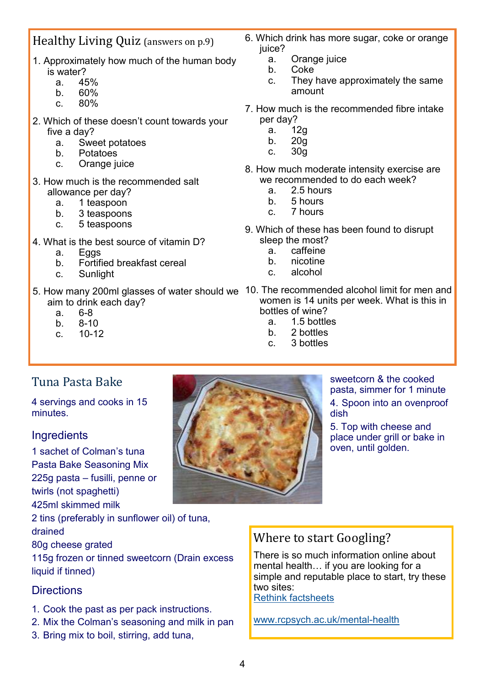## Healthy Living Quiz (answers on p.9)

- 1. Approximately how much of the human body is water?
	- a. 45%
	- b. 60%
	- c. 80%
- 2. Which of these doesn't count towards your five a day?
	- a. Sweet potatoes
	- b. Potatoes
	- c. Orange juice
- 3. How much is the recommended salt allowance per day?
	- a. 1 teaspoon
	- b. 3 teaspoons
	- c. 5 teaspoons
- 4. What is the best source of vitamin D?
	- a. Eggs
	- b. Fortified breakfast cereal
	- c. Sunlight
- aim to drink each day?
	- a. 6-8
	- b. 8-10
	- c. 10-12
- 6. Which drink has more sugar, coke or orange juice?
	- a. Orange juice
	- b. Coke
	- c. They have approximately the same amount
- 7. How much is the recommended fibre intake per day?
	- a. 12g
	- b. 20g
	- c. 30g
- 8. How much moderate intensity exercise are we recommended to do each week?
	- a. 2.5 hours
	- b. 5 hours
	- c. 7 hours
- 9. Which of these has been found to disrupt sleep the most?
	- a. caffeine
	- b. nicotine
	- c. alcohol
- 5. How many 200ml glasses of water should we 10. The recommended alcohol limit for men and women is 14 units per week. What is this in bottles of wine?
	- a. 1.5 bottles
	- b. 2 bottles
	- c. 3 bottles

## Tuna Pasta Bake

4 servings and cooks in 15 minutes.

#### **Ingredients**

1 sachet of Colman's tuna Pasta Bake Seasoning Mix 225g pasta – fusilli, penne or twirls (not spaghetti) 425ml skimmed milk

2 tins (preferably in sunflower oil) of tuna,

drained

80g cheese grated

115g frozen or tinned sweetcorn (Drain excess liquid if tinned)

#### **Directions**

- 1. Cook the past as per pack instructions.
- 2. Mix the Colman's seasoning and milk in pan
- 3. Bring mix to boil, stirring, add tuna,



sweetcorn & the cooked pasta, simmer for 1 minute 4. Spoon into an ovenproof dish

5. Top with cheese and place under grill or bake in oven, until golden.

## Where to start Googling?

There is so much information online about mental health… if you are looking for a simple and reputable place to start, try these two sites:

[Rethink factsheets](https://www.rethink.org/advice-and-information/browse-all-topics/)

[www.rcpsych.ac.uk/mental](https://www.rcpsych.ac.uk/mental-health)-health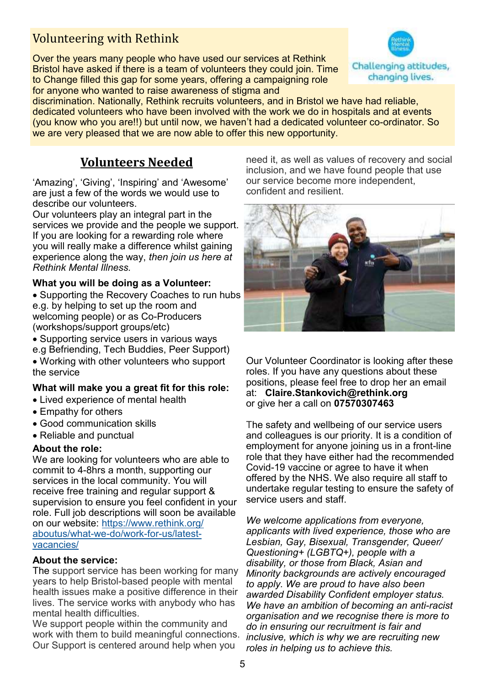## Volunteering with Rethink

Over the years many people who have used our services at Rethink Bristol have asked if there is a team of volunteers they could join. Time to Change filled this gap for some years, offering a campaigning role for anyone who wanted to raise awareness of stigma and



discrimination. Nationally, Rethink recruits volunteers, and in Bristol we have had reliable, dedicated volunteers who have been involved with the work we do in hospitals and at events (you know who you are!!) but until now, we haven't had a dedicated volunteer co-ordinator. So we are very pleased that we are now able to offer this new opportunity.

## **Volunteers Needed**

'Amazing', 'Giving', 'Inspiring' and 'Awesome' are just a few of the words we would use to describe our volunteers.

Our volunteers play an integral part in the services we provide and the people we support. If you are looking for a rewarding role where you will really make a difference whilst gaining experience along the way, *then join us here at Rethink Mental Illness.* 

#### **What you will be doing as a Volunteer:**

• Supporting the Recovery Coaches to run hubs e.g. by helping to set up the room and welcoming people) or as Co-Producers (workshops/support groups/etc)

- Supporting service users in various ways
- e.g Befriending, Tech Buddies, Peer Support)
- Working with other volunteers who support the service

#### **What will make you a great fit for this role:**

- Lived experience of mental health
- Empathy for others
- Good communication skills
- Reliable and punctual

#### **About the role:**

We are looking for volunteers who are able to commit to 4-8hrs a month, supporting our services in the local community. You will receive free training and regular support & supervision to ensure you feel confident in your role. Full job descriptions will soon be available on our website: [https://www.rethink.org/](https://www.rethink.org/aboutus/what-we-do/work-for-us/latest-vacancies/) [aboutus/what](https://www.rethink.org/aboutus/what-we-do/work-for-us/latest-vacancies/)-we-do/work-for-us/latest[vacancies/](https://www.rethink.org/aboutus/what-we-do/work-for-us/latest-vacancies/)

#### **About the service:**

The support service has been working for many years to help Bristol-based people with mental health issues make a positive difference in their lives. The service works with anybody who has mental health difficulties.

We support people within the community and work with them to build meaningful connections. Our Support is centered around help when you

need it, as well as values of recovery and social inclusion, and we have found people that use our service become more independent, confident and resilient.



Our Volunteer Coordinator is looking after these roles. If you have any questions about these positions, please feel free to drop her an email at: **Claire.Stankovic[h@rethink.org](mailto:recruitment@rethink.org)** or give her a call on **07570307463** 

The safety and wellbeing of our service users and colleagues is our priority. It is a condition of employment for anyone joining us in a front-line role that they have either had the recommended Covid-19 vaccine or agree to have it when offered by the NHS. We also require all staff to undertake regular testing to ensure the safety of service users and staff.

*We welcome applications from everyone, applicants with lived experience, those who are Lesbian, Gay, Bisexual, Transgender, Queer/ Questioning+ (LGBTQ+), people with a disability, or those from Black, Asian and Minority backgrounds are actively encouraged to apply. We are proud to have also been awarded Disability Confident employer status. We have an ambition of becoming an anti-racist organisation and we recognise there is more to do in ensuring our recruitment is fair and inclusive, which is why we are recruiting new roles in helping us to achieve this.*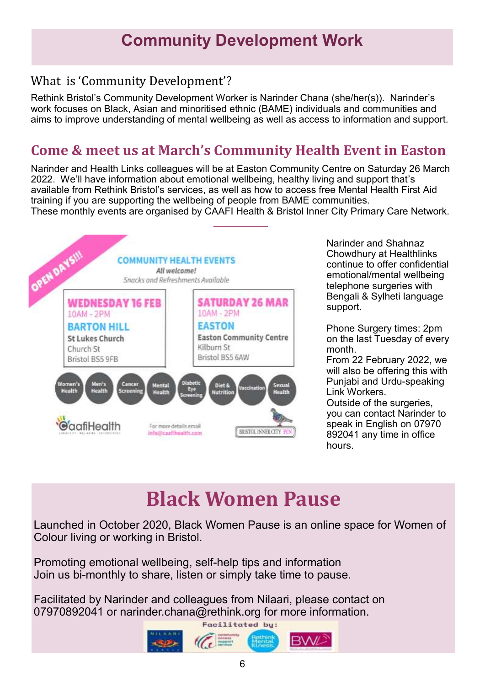## **Community Development Work**

## What is 'Community Development'?

Rethink Bristol's Community Development Worker is Narinder Chana (she/her(s)). Narinder's work focuses on Black, Asian and minoritised ethnic (BAME) individuals and communities and aims to improve understanding of mental wellbeing as well as access to information and support.

## **Come & meet us at March's Community Health Event in Easton**

Narinder and Health Links colleagues will be at Easton Community Centre on Saturday 26 March 2022. We'll have information about emotional wellbeing, healthy living and support that's available from Rethink Bristol's services, as well as how to access free Mental Health First Aid training if you are supporting the wellbeing of people from BAME communities.





Narinder and Shahnaz Chowdhury at Healthlinks continue to offer confidential emotional/mental wellbeing telephone surgeries with Bengali & Sylheti language support.

Phone Surgery times: 2pm on the last Tuesday of every month.

From 22 February 2022, we will also be offering this with Punjabi and Urdu-speaking Link Workers.

Outside of the surgeries, you can contact Narinder to speak in English on 07970 892041 any time in office hours.

## **Black Women Pause**

Launched in October 2020, Black Women Pause is an online space for Women of Colour living or working in Bristol.

Promoting emotional wellbeing, self-help tips and information Join us bi-monthly to share, listen or simply take time to pause.

Facilitated by Narinder and colleagues from Nilaari, please contact on 07970892041 or narinder.chana@rethink.org for more information.

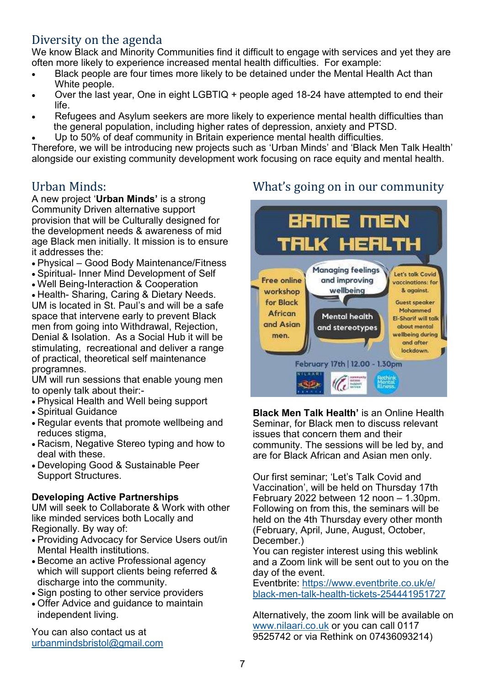## Diversity on the agenda

We know Black and Minority Communities find it difficult to engage with services and yet they are often more likely to experience increased mental health difficulties. For example:

- Black people are four times more likely to be detained under the Mental Health Act than White people.
- Over the last year, One in eight LGBTIQ + people aged 18-24 have attempted to end their life.
- Refugees and Asylum seekers are more likely to experience mental health difficulties than the general population, including higher rates of depression, anxiety and PTSD.
- Up to 50% of deaf community in Britain experience mental health difficulties.

Therefore, we will be introducing new projects such as 'Urban Minds' and 'Black Men Talk Health' alongside our existing community development work focusing on race equity and mental health.

## Urban Minds:

A new project '**Urban Minds'** is a strong Community Driven alternative support provision that will be Culturally designed for the development needs & awareness of mid age Black men initially. It mission is to ensure it addresses the:

- Physical Good Body Maintenance/Fitness
- Spiritual- Inner Mind Development of Self
- Well Being-Interaction & Cooperation

• Health- Sharing, Caring & Dietary Needs. UM is located in St. Paul's and will be a safe space that intervene early to prevent Black men from going into Withdrawal, Rejection, Denial & Isolation. As a Social Hub it will be stimulating, recreational and deliver a range of practical, theoretical self maintenance programnes.

UM will run sessions that enable young men to openly talk about their:-

- Physical Health and Well being support
- Spiritual Guidance
- Regular events that promote wellbeing and reduces stigma,
- Racism, Negative Stereo typing and how to deal with these.
- Developing Good & Sustainable Peer Support Structures.

#### **Developing Active Partnerships**

UM will seek to Collaborate & Work with other like minded services both Locally and Regionally. By way of:

- Providing Advocacy for Service Users out/in Mental Health institutions.
- Become an active Professional agency which will support clients being referred & discharge into the community.
- Sign posting to other service providers
- Offer Advice and guidance to maintain independent living.

You can also contact us at [urbanmindsbristol@gmail.com](mailto:urbanmindsbristol@gmail.com)

## What's going on in our community



**Black Men Talk Health'** is an Online Health Seminar, for Black men to discuss relevant issues that concern them and their community. The sessions will be led by, and are for Black African and Asian men only.

Our first seminar; 'Let's Talk Covid and Vaccination', will be held on Thursday 17th February 2022 between 12 noon – 1.30pm. Following on from this, the seminars will be held on the 4th Thursday every other month (February, April, June, August, October, December.)

You can register interest using this weblink and a Zoom link will be sent out to you on the day of the event.

Eventbrite: [https://www.eventbrite.co.uk/e/](https://www.eventbrite.co.uk/e/black-men-talk-health-tickets-254441951727) black-men-talk-health-tickets-[254441951727](https://www.eventbrite.co.uk/e/black-men-talk-health-tickets-254441951727)

Alternatively, the zoom link will be available on [www.nilaari.co.uk](http://www.nilaari.co.uk) or you can call 0117 9525742 or via Rethink on 07436093214)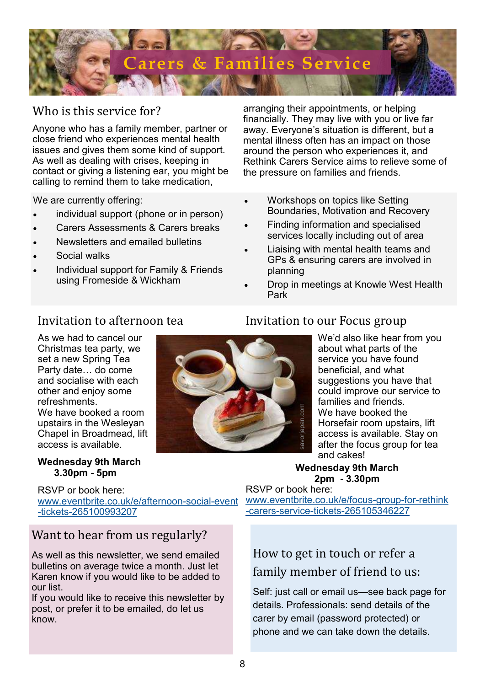

### Who is this service for?

Anyone who has a family member, partner or close friend who experiences mental health issues and gives them some kind of support. As well as dealing with crises, keeping in contact or giving a listening ear, you might be calling to remind them to take medication,

We are currently offering:

- individual support (phone or in person)
- Carers Assessments & Carers breaks
- Newsletters and emailed bulletins
- Social walks
- Individual support for Family & Friends using Fromeside & Wickham

arranging their appointments, or helping financially. They may live with you or live far away. Everyone's situation is different, but a mental illness often has an impact on those around the person who experiences it, and Rethink Carers Service aims to relieve some of the pressure on families and friends.

- Workshops on topics like Setting Boundaries, Motivation and Recovery
- Finding information and specialised services locally including out of area
- Liaising with mental health teams and GPs & ensuring carers are involved in planning
- Drop in meetings at Knowle West Health Park

## Invitation to afternoon tea

As we had to cancel our Christmas tea party, we set a new Spring Tea Party date… do come and socialise with each other and enjoy some refreshments. We have booked a room upstairs in the Wesleyan Chapel in Broadmead, lift access is available.

#### **Wednesday 9th March 3.30pm - 5pm**

RSVP or book here: [www.eventbrite.co.uk/e/afternoon](https://www.eventbrite.co.uk/e/afternoon-social-event-tickets-265100993207)-social-event -tickets-[265100993207](https://www.eventbrite.co.uk/e/afternoon-social-event-tickets-265100993207)

### Want to hear from us regularly?

As well as this newsletter, we send emailed bulletins on average twice a month. Just let Karen know if you would like to be added to our list.

If you would like to receive this newsletter by post, or prefer it to be emailed, do let us know.



#### Invitation to our Focus group

We'd also like hear from you about what parts of the service you have found beneficial, and what suggestions you have that could improve our service to families and friends. We have booked the Horsefair room upstairs, lift access is available. Stay on after the focus group for tea and cakes! We have booked the<br>
Horsefair room upsta<br>
access is available. S<br>
after the focus group<br>
and cakes!<br>
Wednesday 9th March<br>
2pm - 3.30pm<br>
RSVP or book here:<br>
www.eventbrite.co.uk/e/focus-group-for-carers-service-tickets-2651

#### **Wednesday 9th March 2pm - 3.30pm**

RSVP or book here: [www.eventbrite.co.uk/e/focus](https://www.eventbrite.co.uk/e/focus-group-for-rethink-carers-service-tickets-265105346227)-group-for-rethink

## How to get in touch or refer a family member of friend to us:

Self: just call or email us—see back page for details. Professionals: send details of the carer by email (password protected) or phone and we can take down the details.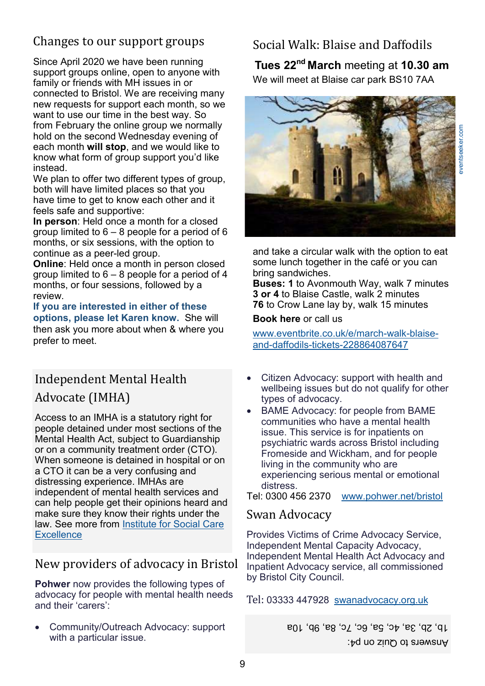# [eventseeker.com](https://eventseeker.com/venue/15855-blaise-castle-house-museum-bristol)

## Changes to our support groups

Since April 2020 we have been running support groups online, open to anyone with family or friends with MH issues in or connected to Bristol. We are receiving many new requests for support each month, so we want to use our time in the best way. So from February the online group we normally hold on the second Wednesday evening of each month **will stop**, and we would like to know what form of group support you'd like instead.

We plan to offer two different types of group, both will have limited places so that you have time to get to know each other and it feels safe and supportive:

**In person**: Held once a month for a closed group limited to  $6 - 8$  people for a period of 6 months, or six sessions, with the option to continue as a peer-led group.

**Online**: Held once a month in person closed group limited to  $6 - 8$  people for a period of 4 months, or four sessions, followed by a review.

**If you are interested in either of these options, please let Karen know.** She will then ask you more about when & where you prefer to meet.

## Independent Mental Health Advocate (IMHA)

Access to an IMHA is a statutory right for people detained under most sections of the Mental Health Act, subject to Guardianship or on a community treatment order (CTO). When someone is detained in hospital or on a CTO it can be a very confusing and distressing experience. IMHAs are independent of mental health services and can help people get their opinions heard and make sure they know their rights under the law. See more from [Institute for Social Care](https://www.scie.org.uk/independent-mental-health-advocacy/)  **[Excellence](https://www.scie.org.uk/independent-mental-health-advocacy/)** 

### New providers of advocacy in Bristol

**Pohwer** now provides the following types of advocacy for people with mental health needs and their 'carers':

• Community/Outreach Advocacy: support with a particular issue.

## Social Walk: Blaise and Daffodils

## **Tues 22nd March** meeting at **10.30 am**

We will meet at Blaise car park BS10 7AA



and take a circular walk with the option to eat some lunch together in the café or you can bring sandwiches.

**Buses: 1** to Avonmouth Way, walk 7 minutes **3 or 4** to Blaise Castle, walk 2 minutes **76** to Crow Lane lay by, walk 15 minutes

**Book here** or call us

[www.eventbrite.co.uk/e/march](https://www.eventbrite.co.uk/e/march-walk-blaise-and-daffodils-tickets-228864087647)-walk-blaiseand-daffodils-tickets-[228864087647](https://www.eventbrite.co.uk/e/march-walk-blaise-and-daffodils-tickets-228864087647)

- Citizen Advocacy: support with health and wellbeing issues but do not qualify for other types of advocacy.
- BAME Advocacy: for people from BAME communities who have a mental health issue. This service is for inpatients on psychiatric wards across Bristol including Fromeside and Wickham, and for people living in the community who are experiencing serious mental or emotional distress.

Tel: 0300 456 2370 [www.pohwer.net/bristol](https://www.pohwer.net/bristol)

#### Swan Advocacy

Provides Victims of Crime Advocacy Service, Independent Mental Capacity Advocacy, Independent Mental Health Act Advocacy and Inpatient Advocacy service, all commissioned by Bristol City Council.

Tel: [03333 447928](tel:03333%20447928) [swanadvocacy.org.uk](https://swanadvocacy.org.uk/services-near-you/bristol/)

Answers to Quiz on p4: 1b, 2b, 3a, 4c, 5a, 6c, 7c, 8a, 9b, 10a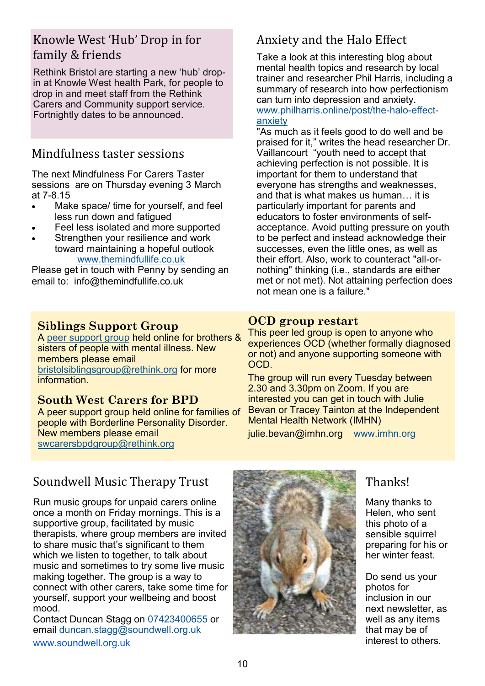## Knowle West 'Hub' Drop in for family & friends

Rethink Bristol are starting a new 'hub' dropin at Knowle West health Park, for people to drop in and meet staff from the Rethink Carers and Community support service. Fortnightly dates to be announced.

## Mindfulness taster sessions

The next Mindfulness For Carers Taster sessions are on Thursday evening 3 March at 7-8.15

- Make space/ time for yourself, and feel less run down and fatigued
- Feel less isolated and more supported
- Strengthen your resilience and work toward maintaining a hopeful outlook [www.themindfullife.co.uk](http://www.themindfullife.co.uk)

Please get in touch with Penny by sending an email to: [info@themindfullife.co.uk](mailto:info@themindfullife.co.uk)

#### **Siblings Support Group**

A [peer support group](https://www.rethink.org/help-in-your-area/support-groups/bristol-siblings-group/) held online for brothers & sisters of people with mental illness. New members please email [bristolsiblingsgroup@rethink.org](mailto:bristolsiblingsgroup@rethink.org) for more **information** 

#### **South West Carers for BPD**

A peer support group held online for families of people with Borderline Personality Disorder. New members please email [swcarersbpdgroup@rethink.org](mailto:swcarersbpdgroup@rethink.org)

## Anxiety and the Halo Effect

Take a look at this interesting blog about mental health topics and research by local trainer and researcher Phil Harris, including a summary of research into how perfectionism can turn into depression and anxiety. [www.philharris.online/post/the](https://www.philharris.online/post/the-halo-effect-anxiety)-halo-effect[anxiety](https://www.philharris.online/post/the-halo-effect-anxiety)

"As much as it feels good to do well and be praised for it," writes the head researcher Dr. Vaillancourt "youth need to accept that achieving perfection is not possible. It is important for them to understand that everyone has strengths and weaknesses, and that is what makes us human… it is particularly important for parents and educators to foster environments of selfacceptance. Avoid putting pressure on youth to be perfect and instead acknowledge their successes, even the little ones, as well as their effort. Also, work to counteract "all-ornothing" thinking (i.e., standards are either met or not met). Not attaining perfection does not mean one is a failure."

#### **OCD group restart**

This peer led group is open to anyone who experiences OCD (whether formally diagnosed or not) and anyone supporting someone with OCD.

The group will run every Tuesday between 2.30 and 3.30pm on Zoom. If you are interested you can get in touch with Julie Bevan or Tracey Tainton at the Independent Mental Health Network (IMHN) julie.bevan@imhn.org [www.imhn.org](https://protect-eu.mimecast.com/s/PWfKCVPpXtBQL9hJXYMh?domain=imhn.org)

## Soundwell Music Therapy Trust

Run music groups for unpaid carers online once a month on Friday mornings. This is a supportive group, facilitated by music therapists, where group members are invited to share music that's significant to them which we listen to together, to talk about music and sometimes to try some live music making together. The group is a way to connect with other carers, take some time for yourself, support your wellbeing and boost mood.

Contact Duncan Stagg on [07423400655](tel:07423400655) or email [duncan.stagg@soundwell.org.uk](mailto:duncan.stagg@soundwell.org.uk) [www.soundwell.org.uk](https://protect-eu.mimecast.com/s/-nQSCJqD0TvxWQcGIGGV?domain=soundwell.org.uk/)



## Thanks!

Many thanks to Helen, who sent this photo of a sensible squirrel preparing for his or her winter feast.

Do send us your photos for inclusion in our next newsletter, as well as any items that may be of interest to others.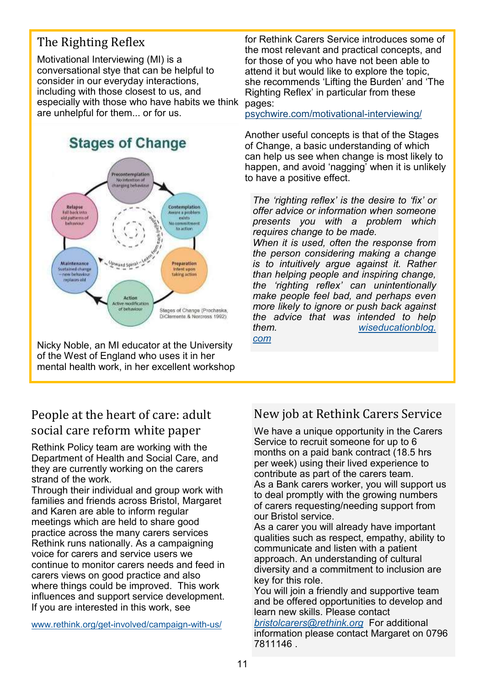## The Righting Reflex

Motivational Interviewing (MI) is a conversational stye that can be helpful to consider in our everyday interactions, including with those closest to us, and especially with those who have habits we think are unhelpful for them... or for us.



Nicky Noble, an MI educator at the University of the West of England who uses it in her mental health work, in her excellent workshop

for Rethink Carers Service introduces some of the most relevant and practical concepts, and for those of you who have not been able to attend it but would like to explore the topic, she recommends 'Lifting the Burden' and 'The Righting Reflex' in particular from these pages:

[psychwire.com/motivational](https://psychwire.com/motivational-interviewing/resources)-interviewing/

Another useful concepts is that of the Stages of Change, a basic understanding of which can help us see when change is most likely to happen, and avoid 'nagging' when it is unlikely to have a positive effect.

*The 'righting reflex' is the desire to 'fix' or offer advice or information when someone presents you with a problem which requires change to be made.*

*When it is used, often the response from the person considering making a change is to intuitively argue against it. Rather than helping people and inspiring change, the 'righting reflex' can unintentionally make people feel bad, and perhaps even more likely to ignore or push back against the advice that was intended to help them. [wiseducationblog.](https://wiseducationblog.com/2020/11/01/the-righting-reflex-when-helping-isnt-always-helpful/) [com](https://wiseducationblog.com/2020/11/01/the-righting-reflex-when-helping-isnt-always-helpful/)*

## People at the heart of care: adult social care reform white paper

Rethink Policy team are working with the Department of Health and Social Care, and they are currently working on the carers strand of the work.

Through their individual and group work with families and friends across Bristol, Margaret and Karen are able to inform regular meetings which are held to share good practice across the many carers services Rethink runs nationally. As a campaigning voice for carers and service users we continue to monitor carers needs and feed in carers views on good practice and also where things could be improved. This work influences and support service development. If you are interested in this work, see

[www.rethink.org/get](https://www.rethink.org/get-involved/campaign-with-us/)-involved/campaign-with-us/

## New job at Rethink Carers Service

We have a unique opportunity in the Carers Service to recruit someone for up to 6 months on a paid bank contract (18.5 hrs per week) using their lived experience to contribute as part of the carers team. As a Bank carers worker, you will support us to deal promptly with the growing numbers of carers requesting/needing support from our Bristol service.

As a carer you will already have important qualities such as respect, empathy, ability to communicate and listen with a patient approach. An understanding of cultural diversity and a commitment to inclusion are key for this role.

You will join a friendly and supportive team and be offered opportunities to develop and learn new skills. Please contact

*[bristolcarers@rethink.org](mailto:bristolcarers@rethink.org)* For additional information please contact Margaret on 0796 7811146 .